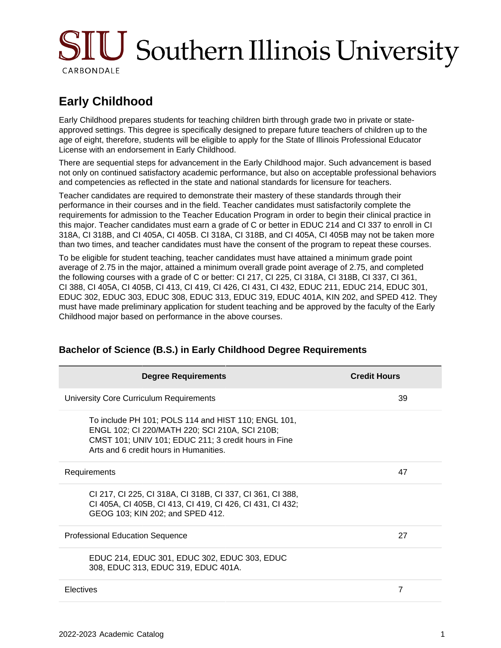# SIU Southern Illinois University CARBONDALE

## **Early Childhood**

Early Childhood prepares students for teaching children birth through grade two in private or stateapproved settings. This degree is specifically designed to prepare future teachers of children up to the age of eight, therefore, students will be eligible to apply for the State of Illinois Professional Educator License with an endorsement in Early Childhood.

There are sequential steps for advancement in the Early Childhood major. Such advancement is based not only on continued satisfactory academic performance, but also on acceptable professional behaviors and competencies as reflected in the state and national standards for licensure for teachers.

Teacher candidates are required to demonstrate their mastery of these standards through their performance in their courses and in the field. Teacher candidates must satisfactorily complete the requirements for admission to the Teacher Education Program in order to begin their clinical practice in this major. Teacher candidates must earn a grade of C or better in EDUC 214 and CI 337 to enroll in CI 318A, CI 318B, and CI 405A, CI 405B. CI 318A, CI 318B, and CI 405A, CI 405B may not be taken more than two times, and teacher candidates must have the consent of the program to repeat these courses.

To be eligible for student teaching, teacher candidates must have attained a minimum grade point average of 2.75 in the major, attained a minimum overall grade point average of 2.75, and completed the following courses with a grade of C or better: CI 217, CI 225, CI 318A, CI 318B, CI 337, CI 361, CI 388, CI 405A, CI 405B, CI 413, CI 419, CI 426, CI 431, CI 432, EDUC 211, EDUC 214, EDUC 301, EDUC 302, EDUC 303, EDUC 308, EDUC 313, EDUC 319, EDUC 401A, KIN 202, and SPED 412. They must have made preliminary application for student teaching and be approved by the faculty of the Early Childhood major based on performance in the above courses.

| <b>Degree Requirements</b>                                                                                                                                                                              | <b>Credit Hours</b> |
|---------------------------------------------------------------------------------------------------------------------------------------------------------------------------------------------------------|---------------------|
| University Core Curriculum Requirements                                                                                                                                                                 | 39                  |
| To include PH 101; POLS 114 and HIST 110; ENGL 101,<br>ENGL 102; CI 220/MATH 220; SCI 210A, SCI 210B;<br>CMST 101; UNIV 101; EDUC 211; 3 credit hours in Fine<br>Arts and 6 credit hours in Humanities. |                     |
| Requirements                                                                                                                                                                                            | 47                  |
| CI 217, CI 225, CI 318A, CI 318B, CI 337, CI 361, CI 388,<br>CI 405A, CI 405B, CI 413, CI 419, CI 426, CI 431, CI 432;<br>GEOG 103; KIN 202; and SPED 412.                                              |                     |
| <b>Professional Education Sequence</b>                                                                                                                                                                  | 27                  |
| EDUC 214, EDUC 301, EDUC 302, EDUC 303, EDUC<br>308, EDUC 313, EDUC 319, EDUC 401A.                                                                                                                     |                     |
| Electives                                                                                                                                                                                               | 7                   |
|                                                                                                                                                                                                         |                     |

### **Bachelor of Science (B.S.) in Early Childhood Degree Requirements**